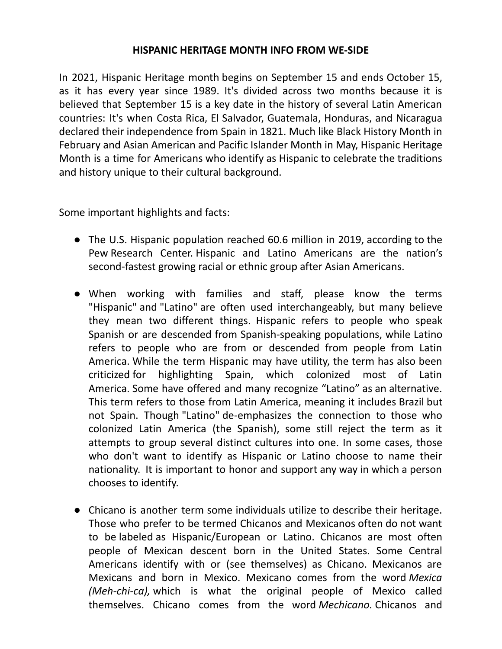## **HISPANIC HERITAGE MONTH INFO FROM WE-SIDE**

In 2021, Hispanic Heritage month begins on September 15 and ends October 15, as it has every year since 1989. It's divided across two months because it is believed that September 15 is a key date in the history of several Latin American countries: It's when Costa Rica, El Salvador, Guatemala, Honduras, and Nicaragua declared their independence from Spain in 1821. Much like Black History Month in February and Asian American and Pacific Islander Month in May, Hispanic Heritage Month is a time for Americans who identify as Hispanic to celebrate the traditions and history unique to their cultural background.

Some important highlights and facts:

- The U.S. Hispanic population reached 60.6 million in 2019, according to the Pew Research Center. Hispanic and Latino Americans are the nation's second-fastest growing racial or ethnic group after Asian Americans.
- When working with families and staff, please know the terms "Hispanic" and "Latino" are often used interchangeably, but many believe they mean two different things. Hispanic refers to people who speak Spanish or are descended from Spanish-speaking populations, while Latino refers to people who are from or descended from people from Latin America. While the term Hispanic may have utility, the term has also been criticized for highlighting Spain, which colonized most of Latin America. Some have offered and many recognize "Latino" as an alternative. This term refers to those from Latin America, meaning it includes Brazil but not Spain. Though "Latino" de-emphasizes the connection to those who colonized Latin America (the Spanish), some still reject the term as it attempts to group several distinct cultures into one. In some cases, those who don't want to identify as Hispanic or Latino choose to name their nationality. It is important to honor and support any way in which a person chooses to identify.
- Chicano is another term some individuals utilize to describe their heritage. Those who prefer to be termed Chicanos and Mexicanos often do not want to be labeled as Hispanic/European or Latino. Chicanos are most often people of Mexican descent born in the United States. Some Central Americans identify with or (see themselves) as Chicano. Mexicanos are Mexicans and born in Mexico. Mexicano comes from the word *Mexica (Meh-chi-ca),* which is what the original people of Mexico called themselves. Chicano comes from the word *Mechicano.* Chicanos and